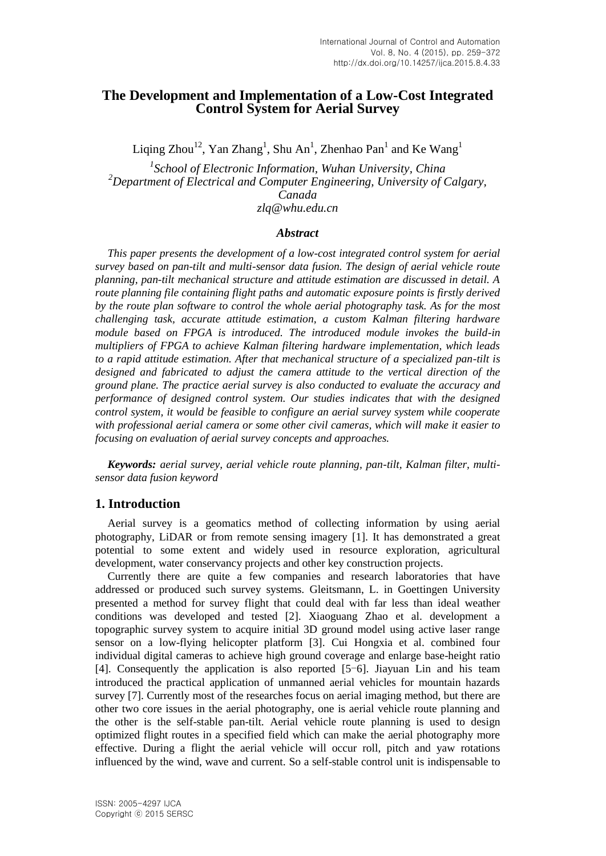# **The Development and Implementation of a Low-Cost Integrated Control System for Aerial Survey**

Liqing Zhou<sup>12</sup>, Yan Zhang<sup>1</sup>, Shu An<sup>1</sup>, Zhenhao Pan<sup>1</sup> and Ke Wang<sup>1</sup>

*1 School of Electronic Information, Wuhan University, China <sup>2</sup>Department of Electrical and Computer Engineering, University of Calgary, Canada zlq@whu.edu.cn*

### *Abstract*

*This paper presents the development of a low-cost integrated control system for aerial survey based on pan-tilt and multi-sensor data fusion. The design of aerial vehicle route planning, pan-tilt mechanical structure and attitude estimation are discussed in detail. A route planning file containing flight paths and automatic exposure points is firstly derived by the route plan software to control the whole aerial photography task. As for the most challenging task, accurate attitude estimation, a custom Kalman filtering hardware module based on FPGA is introduced. The introduced module invokes the build-in multipliers of FPGA to achieve Kalman filtering hardware implementation, which leads to a rapid attitude estimation. After that mechanical structure of a specialized pan-tilt is designed and fabricated to adjust the camera attitude to the vertical direction of the ground plane. The practice aerial survey is also conducted to evaluate the accuracy and performance of designed control system. Our studies indicates that with the designed control system, it would be feasible to configure an aerial survey system while cooperate with professional aerial camera or some other civil cameras, which will make it easier to focusing on evaluation of aerial survey concepts and approaches.*

*Keywords: aerial survey, aerial vehicle route planning, pan-tilt, Kalman filter, multisensor data fusion keyword*

## **1. Introduction**

Aerial survey is a geomatics method of collecting information by using aerial photography, LiDAR or from remote sensing imagery [1]. It has demonstrated a great potential to some extent and widely used in resource exploration, agricultural development, water conservancy projects and other key construction projects.

Currently there are quite a few companies and research laboratories that have addressed or produced such survey systems. Gleitsmann, L. in Goettingen University presented a method for survey flight that could deal with far less than ideal weather conditions was developed and tested [2]. Xiaoguang Zhao et al. development a topographic survey system to acquire initial 3D ground model using active laser range sensor on a low-flying helicopter platform [3]. Cui Hongxia et al. combined four individual digital cameras to achieve high ground coverage and enlarge base-height ratio [4]. Consequently the application is also reported [5-6]. Jiayuan Lin and his team introduced the practical application of unmanned aerial vehicles for mountain hazards survey [7]. Currently most of the researches focus on aerial imaging method, but there are other two core issues in the aerial photography, one is aerial vehicle route planning and the other is the self-stable pan-tilt. Aerial vehicle route planning is used to design optimized flight routes in a specified field which can make the aerial photography more effective. During a flight the aerial vehicle will occur roll, pitch and yaw rotations influenced by the wind, wave and current. So a self-stable control unit is indispensable to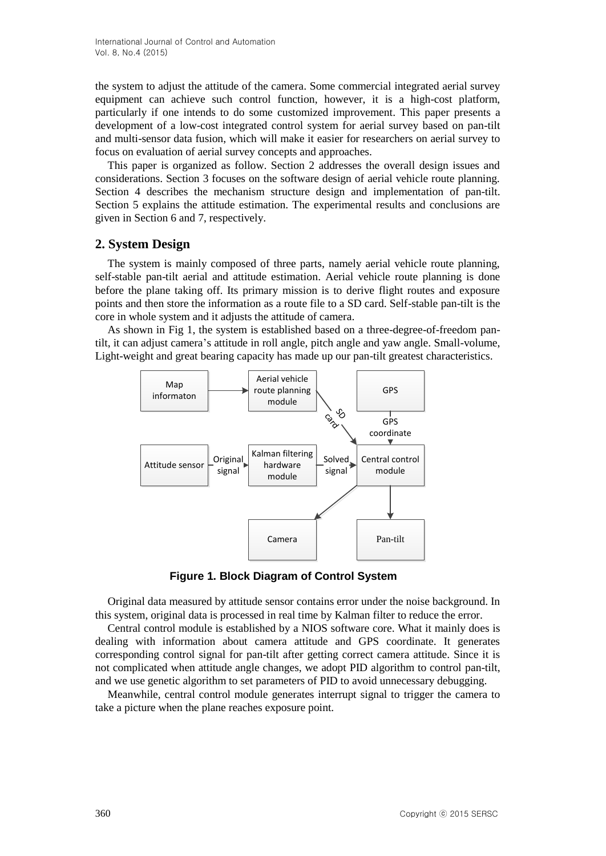the system to adjust the attitude of the camera. Some commercial integrated aerial survey equipment can achieve such control function, however, it is a high-cost platform, particularly if one intends to do some customized improvement. This paper presents a development of a low-cost integrated control system for aerial survey based on pan-tilt and multi-sensor data fusion, which will make it easier for researchers on aerial survey to focus on evaluation of aerial survey concepts and approaches.

This paper is organized as follow. Section 2 addresses the overall design issues and considerations. Section 3 focuses on the software design of aerial vehicle route planning. Section 4 describes the mechanism structure design and implementation of pan-tilt. Section 5 explains the attitude estimation. The experimental results and conclusions are given in Section 6 and 7, respectively.

# **2. System Design**

The system is mainly composed of three parts, namely aerial vehicle route planning, self-stable pan-tilt aerial and attitude estimation. Aerial vehicle route planning is done before the plane taking off. Its primary mission is to derive flight routes and exposure points and then store the information as a route file to a SD card. Self-stable pan-tilt is the core in whole system and it adjusts the attitude of camera.

As shown in Fig 1, the system is established based on a three-degree-of-freedom pantilt, it can adjust camera's attitude in roll angle, pitch angle and yaw angle. Small-volume, Light-weight and great bearing capacity has made up our pan-tilt greatest characteristics.



**Figure 1. Block Diagram of Control System**

Original data measured by attitude sensor contains error under the noise background. In this system, original data is processed in real time by Kalman filter to reduce the error.

Central control module is established by a NIOS software core. What it mainly does is dealing with information about camera attitude and GPS coordinate. It generates corresponding control signal for pan-tilt after getting correct camera attitude. Since it is not complicated when attitude angle changes, we adopt PID algorithm to control pan-tilt, and we use genetic algorithm to set parameters of PID to avoid unnecessary debugging.

Meanwhile, central control module generates interrupt signal to trigger the camera to take a picture when the plane reaches exposure point.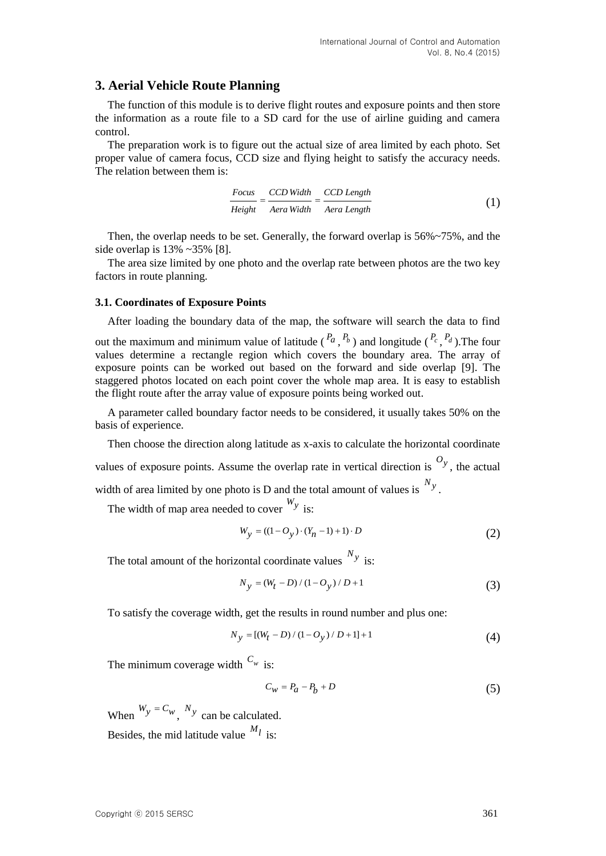# **3. Aerial Vehicle Route Planning**

The function of this module is to derive flight routes and exposure points and then store the information as a route file to a SD card for the use of airline guiding and camera control.

The preparation work is to figure out the actual size of area limited by each photo. Set proper value of camera focus, CCD size and flying height to satisfy the accuracy needs. The relation between them is:

$$
\frac{Focus}{Height} = \frac{CCD\;Width}{Aera\;Width} = \frac{CCD\;Length}{Aera\;Length} \tag{1}
$$

Then, the overlap needs to be set. Generally, the forward overlap is 56%~75%, and the side overlap is 13% ~35% [8].

The area size limited by one photo and the overlap rate between photos are the two key factors in route planning.

#### **3.1. Coordinates of Exposure Points**

After loading the boundary data of the map, the software will search the data to find

out the maximum and minimum value of latitude  $\binom{P_a}{P_b}$  and longitude  $\binom{P_c}{P_d}$ . The four values determine a rectangle region which covers the boundary area. The array of exposure points can be worked out based on the forward and side overlap [9]. The staggered photos located on each point cover the whole map area. It is easy to establish the flight route after the array value of exposure points being worked out.

A parameter called boundary factor needs to be considered, it usually takes 50% on the basis of experience.

Then choose the direction along latitude as x-axis to calculate the horizontal coordinate values of exposure points. Assume the overlap rate in vertical direction is  $O_y$ , the actual width of area limited by one photo is D and the total amount of values is  $N_y$ .

The width of map area needed to cover *Wy* is:

$$
W_y = ((1 - O_y) \cdot (Y_n - 1) + 1) \cdot D \tag{2}
$$

The total amount of the horizontal coordinate values *Ny* is:

$$
N_{y} = (W_{t} - D) / (1 - O_{y}) / D + 1
$$
\n(3)

To satisfy the coverage width, get the results in round number and plus one:

$$
N_{y} = [(W_{t} - D) / (1 - O_{y}) / D + 1] + 1
$$
\n(4)

The minimum coverage width  $C_w$  is:

$$
C_w = P_a - P_b + D \tag{5}
$$

When  $W_y = C_w$ ,  $N_y$  can be calculated. Besides, the mid latitude value  $^{M_l}$  is: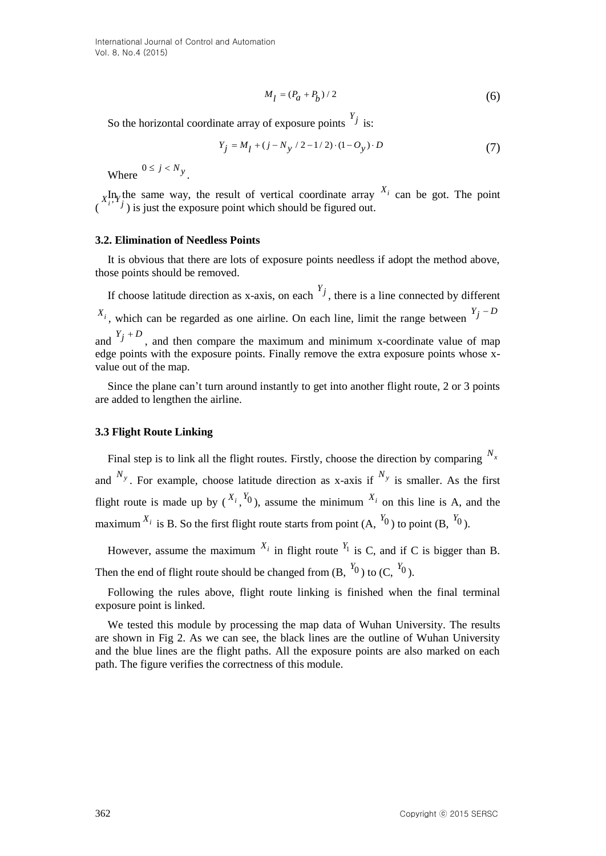$$
M_l = (P_a + P_b) / 2 \tag{6}
$$

So the horizontal coordinate array of exposure points  $Y_j$  is:

$$
Y_j = M_l + (j - N_y / 2 - 1 / 2) \cdot (1 - O_y) \cdot D \tag{7}
$$

Where  $0 \le j \le N_y$ .

In the same way, the result of vertical coordinate array  $X_i$  can be got. The point  $\chi_i^{\text{H},\text{v}}$  in same way, the result of vertical coordinate array<br> $\chi_i^{\text{H},\text{v}}$  is just the exposure point which should be figured out.

#### **3.2. Elimination of Needless Points**

It is obvious that there are lots of exposure points needless if adopt the method above, those points should be removed.

If choose latitude direction as x-axis, on each  $Y_j$ , there is a line connected by different  $X_i$ , which can be regarded as one airline. On each line, limit the range between  $Y_j - D_j$ and  $Y_j + D$ , and then compare the maximum and minimum x-coordinate value of map edge points with the exposure points. Finally remove the extra exposure points whose xvalue out of the map.

Since the plane can't turn around instantly to get into another flight route, 2 or 3 points are added to lengthen the airline.

#### **3.3 Flight Route Linking**

**36** Cole horizontal coordinate array of exposure points  $\frac{M_f - (I_0 + I_0')r}{2}$  is:<br>  $\frac{y_f - M_f + (1 - N_g r/2 - 1/r)/2 + (1 - Q_g) + D}{r}$  (7).<br>
Where  $0 \le f \le N_y$ .<br>
Where  $0 \le f \le N_y$ .<br>
ABy the same way, the result of vertical coordinate arr Final step is to link all the flight routes. Firstly, choose the direction by comparing  $N_x$ and  $N_y$ . For example, choose latitude direction as x-axis if  $N_y$  is smaller. As the first flight route is made up by  $\binom{X_i}{Y}$ ,  $\binom{Y_i}{Y}$ , assume the minimum  $\binom{X_i}{Y}$  on this line is A, and the maximum  $X_i$  is B. So the first flight route starts from point  $(A, Y_0)$  to point  $(B, Y_0)$ .

However, assume the maximum  $X_i$  in flight route  $Y_1$  is C, and if C is bigger than B. Then the end of flight route should be changed from  $(B, \binom{Y_0}{Y_0})$  to  $(C, \binom{Y_0}{Y_0})$ .

Following the rules above, flight route linking is finished when the final terminal exposure point is linked.

We tested this module by processing the map data of Wuhan University. The results are shown in Fig 2. As we can see, the black lines are the outline of Wuhan University and the blue lines are the flight paths. All the exposure points are also marked on each path. The figure verifies the correctness of this module.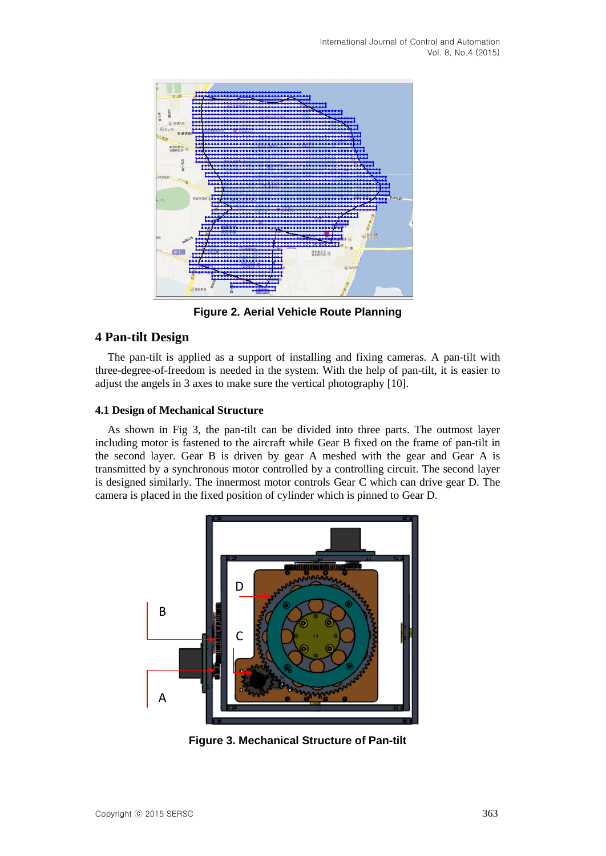

**Figure 2. Aerial Vehicle Route Planning**

## **4 Pan-tilt Design**

The pan-tilt is applied as a support of installing and fixing cameras. A pan-tilt with three-degree-of-freedom is needed in the system. With the help of pan-tilt, it is easier to adjust the angels in 3 axes to make sure the vertical photography [10].

### **4.1 Design of Mechanical Structure**

As shown in Fig 3, the pan-tilt can be divided into three parts. The outmost layer including motor is fastened to the aircraft while Gear B fixed on the frame of pan-tilt in the second layer. Gear B is driven by gear A meshed with the gear and Gear A is transmitted by a synchronous motor controlled by a controlling circuit. The second layer is designed similarly. The innermost motor controls Gear C which can drive gear D. The camera is placed in the fixed position of cylinder which is pinned to Gear D.



**Figure 3. Mechanical Structure of Pan-tilt**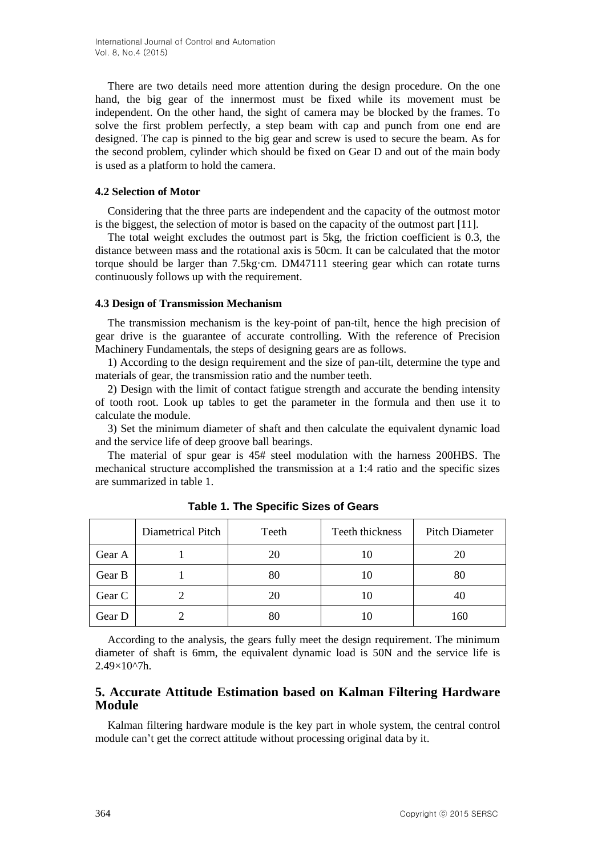There are two details need more attention during the design procedure. On the one hand, the big gear of the innermost must be fixed while its movement must be independent. On the other hand, the sight of camera may be blocked by the frames. To solve the first problem perfectly, a step beam with cap and punch from one end are designed. The cap is pinned to the big gear and screw is used to secure the beam. As for the second problem, cylinder which should be fixed on Gear D and out of the main body is used as a platform to hold the camera.

### **4.2 Selection of Motor**

Considering that the three parts are independent and the capacity of the outmost motor is the biggest, the selection of motor is based on the capacity of the outmost part [11].

The total weight excludes the outmost part is 5kg, the friction coefficient is 0.3, the distance between mass and the rotational axis is 50cm. It can be calculated that the motor torque should be larger than 7.5kg·cm. DM47111 steering gear which can rotate turns continuously follows up with the requirement.

### **4.3 Design of Transmission Mechanism**

The transmission mechanism is the key-point of pan-tilt, hence the high precision of gear drive is the guarantee of accurate controlling. With the reference of Precision Machinery Fundamentals, the steps of designing gears are as follows.

1) According to the design requirement and the size of pan-tilt, determine the type and materials of gear, the transmission ratio and the number teeth.

2) Design with the limit of contact fatigue strength and accurate the bending intensity of tooth root. Look up tables to get the parameter in the formula and then use it to calculate the module.

3) Set the minimum diameter of shaft and then calculate the equivalent dynamic load and the service life of deep groove ball bearings.

The material of spur gear is 45# steel modulation with the harness 200HBS. The mechanical structure accomplished the transmission at a 1:4 ratio and the specific sizes are summarized in table 1.

|        | Diametrical Pitch | Teeth | Teeth thickness | <b>Pitch Diameter</b> |
|--------|-------------------|-------|-----------------|-----------------------|
| Gear A |                   | 20    | 10              | 20                    |
| Gear B |                   | 80    | 10              | 80                    |
| Gear C |                   | 20    | ΙU              | 40                    |
| Gear D |                   | 80    |                 | 160                   |

**Table 1. The Specific Sizes of Gears**

According to the analysis, the gears fully meet the design requirement. The minimum diameter of shaft is 6mm, the equivalent dynamic load is 50N and the service life is  $2.49\times10^{2}$ h.

# **5. Accurate Attitude Estimation based on Kalman Filtering Hardware Module**

Kalman filtering hardware module is the key part in whole system, the central control module can't get the correct attitude without processing original data by it.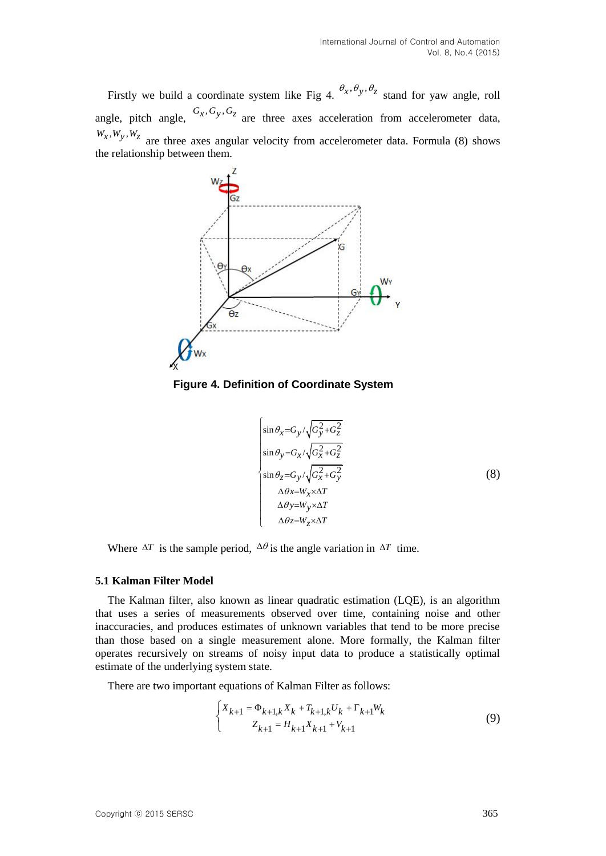Firstly we build a coordinate system like Fig 4.  $\theta_x, \theta_y, \theta_z$  stand for yaw angle, roll angle, pitch angle,  $G_x, G_y, G_z$  are three axes acceleration from accelerometer data,  $W_x, W_y, W_z$  are three axes angular velocity from accelerometer data. Formula (8) shows the relationship between them.



**Figure 4. Definition of Coordinate System**

$$
\begin{cases}\n\sin \theta_x = G_y / \sqrt{G_y^2 + G_z^2} \\
\sin \theta_y = G_x / \sqrt{G_x^2 + G_z^2} \\
\sin \theta_z = G_y / \sqrt{G_x^2 + G_y^2} \\
\Delta \theta_x = W_x \times \Delta T \\
\Delta \theta_y = W_y \times \Delta T \\
\Delta \theta_z = W_z \times \Delta T\n\end{cases}
$$
\n(8)

Where  $\Delta T$  is the sample period,  $\Delta \theta$  is the angle variation in  $\Delta T$  time.

#### **5.1 Kalman Filter Model**

The Kalman filter, also known as linear quadratic estimation (LQE), is an algorithm that uses a series of measurements observed over time, containing noise and other inaccuracies, and produces estimates of unknown variables that tend to be more precise than those based on a single measurement alone. More formally, the Kalman filter operates recursively on streams of noisy input data to produce a statistically optimal estimate of the underlying system state.

There are two important equations of Kalman Filter as follows:

$$
\begin{cases} X_{k+1} = \Phi_{k+1,k} X_k + T_{k+1,k} U_k + \Gamma_{k+1} W_k \\ Z_{k+1} = H_{k+1} X_{k+1} + V_{k+1} \end{cases}
$$
 (9)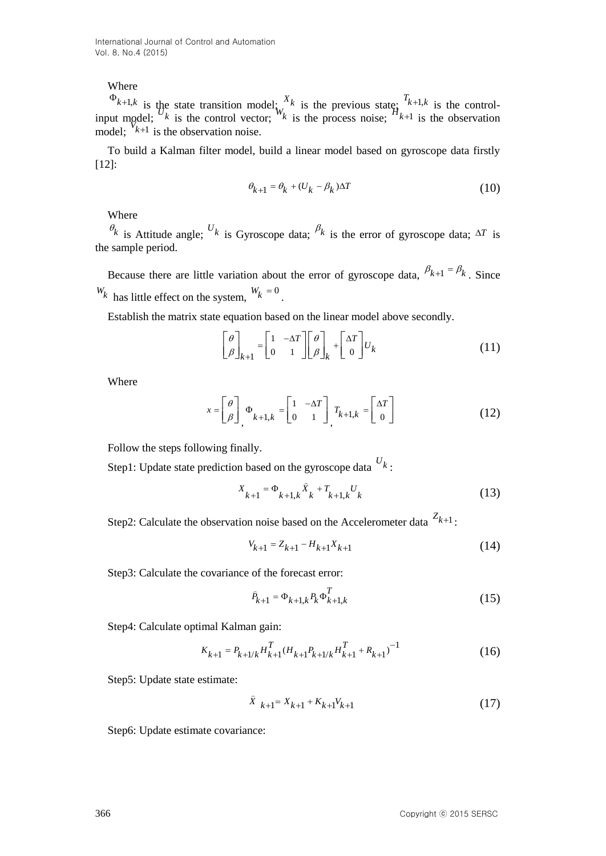# Where

 $\Phi_{k+1,k}$  is the state transition model;  $\chi^X_k$  is the previous state;  $T_{k+1,k}$  is the controlinput model;  $\frac{16}{k}$  is the control vector;  $\frac{16}{k}$  is the process noise;  $\frac{1}{2}$ <sub>k+1</sub> is the observation model;  $\begin{bmatrix} 1 & 1 & 0 \\ k+1 & k \end{bmatrix}$  is the observation noise.

To build a Kalman filter model, build a linear model based on gyroscope data firstly [12]:

$$
\theta_{k+1} = \theta_k + (U_k - \beta_k)\Delta T \tag{10}
$$

Where

 $\theta_k$  is Attitude angle;  $U_k$  is Gyroscope data;  $\beta_k$  is the error of gyroscope data;  $\Delta T$  is the sample period.

Because there are little variation about the error of gyroscope data,  $\beta_{k+1} = \beta_k$ . Since  $W_k$  has little effect on the system,  $W_k = 0$ .

Establish the matrix state equation based on the linear model above secondly.

$$
\begin{bmatrix} \theta \\ \beta \end{bmatrix}_{k+1} = \begin{bmatrix} 1 & -\Delta T \\ 0 & 1 \end{bmatrix} \begin{bmatrix} \theta \\ \beta \end{bmatrix}_{k} + \begin{bmatrix} \Delta T \\ 0 \end{bmatrix} U_{k}
$$
 (11)

Where

$$
x = \begin{bmatrix} \theta \\ \beta \end{bmatrix}, \Phi_{k+1,k} = \begin{bmatrix} 1 & -\Delta T \\ 0 & 1 \end{bmatrix}, T_{k+1,k} = \begin{bmatrix} \Delta T \\ 0 \end{bmatrix}
$$
(12)

Follow the steps following finally.

Step1: Update state prediction based on the gyroscope data *Uk* :

$$
X_{k+1} = \Phi_{k+1,k} \hat{X}_k + T_{k+1,k} U_k
$$
\n(13)

Step2: Calculate the observation noise based on the Accelerometer data  $Z_{k+1}$ :

$$
V_{k+1} = Z_{k+1} - H_{k+1} X_{k+1}
$$
\n(14)

Step3: Calculate the covariance of the forecast error:

$$
\hat{P}_{k+1} = \Phi_{k+1,k} P_k \Phi_{k+1,k}^T
$$
\n(15)

Step4: Calculate optimal Kalman gain:

$$
K_{k+1} = P_{k+1/k} H_{k+1}^T (H_{k+1} P_{k+1/k} H_{k+1}^T + R_{k+1})^{-1}
$$
 (16)

Step5: Update state estimate:

$$
\hat{X}_{k+1} = X_{k+1} + K_{k+1}V_{k+1}
$$
\n(17)

Step6: Update estimate covariance: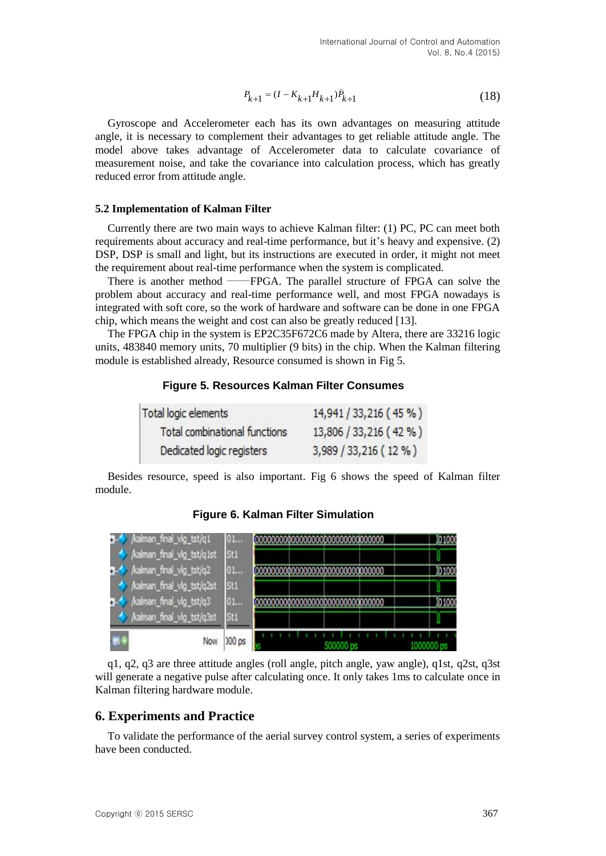$$
P_{k+1} = (I - K_{k+1}H_{k+1})\hat{P}_{k+1}
$$
\n(18)

### **5.2 Implementation of Kalman Filter**

## **Figure 5. Resources Kalman Filter Consumes**

| Total logic elements          | 14,941 / 33,216 (45 %) |
|-------------------------------|------------------------|
| Total combinational functions | 13,806 / 33,216 (42 %) |
| Dedicated logic registers     | 3,989 / 33,216 (12 %)  |

|         | $P_{k+1} = (I - K_{k+1}H_{k+1})\hat{P}_{k+1}$                                                                                                                                                                                                                                                                                                                                                                                                                                                                                                                                                                                                                                                                                                                                                                                                                                                                                                                   |                                                                           | (18)                    |
|---------|-----------------------------------------------------------------------------------------------------------------------------------------------------------------------------------------------------------------------------------------------------------------------------------------------------------------------------------------------------------------------------------------------------------------------------------------------------------------------------------------------------------------------------------------------------------------------------------------------------------------------------------------------------------------------------------------------------------------------------------------------------------------------------------------------------------------------------------------------------------------------------------------------------------------------------------------------------------------|---------------------------------------------------------------------------|-------------------------|
|         | Gyroscope and Accelerometer each has its own advantages on measuring attitude<br>angle, it is necessary to complement their advantages to get reliable attitude angle. The<br>model above takes advantage of Accelerometer data to calculate covariance of<br>measurement noise, and take the covariance into calculation process, which has greatly<br>reduced error from attitude angle.                                                                                                                                                                                                                                                                                                                                                                                                                                                                                                                                                                      |                                                                           |                         |
|         | 5.2 Implementation of Kalman Filter                                                                                                                                                                                                                                                                                                                                                                                                                                                                                                                                                                                                                                                                                                                                                                                                                                                                                                                             |                                                                           |                         |
|         | Currently there are two main ways to achieve Kalman filter: (1) PC, PC can meet both<br>requirements about accuracy and real-time performance, but it's heavy and expensive. (2)<br>DSP, DSP is small and light, but its instructions are executed in order, it might not mee<br>the requirement about real-time performance when the system is complicated.<br>There is another method - FPGA. The parallel structure of FPGA can solve the<br>problem about accuracy and real-time performance well, and most FPGA nowadays is<br>integrated with soft core, so the work of hardware and software can be done in one FPGA<br>chip, which means the weight and cost can also be greatly reduced [13].<br>The FPGA chip in the system is EP2C35F672C6 made by Altera, there are 33216 logic<br>units, 483840 memory units, 70 multiplier (9 bits) in the chip. When the Kalman filtering<br>module is established already, Resource consumed is shown in Fig 5. |                                                                           |                         |
|         | <b>Figure 5. Resources Kalman Filter Consumes</b>                                                                                                                                                                                                                                                                                                                                                                                                                                                                                                                                                                                                                                                                                                                                                                                                                                                                                                               |                                                                           |                         |
|         | Total logic elements<br>Total combinational functions<br>Dedicated logic registers<br>Besides resource, speed is also important. Fig 6 shows the speed of Kalman filter                                                                                                                                                                                                                                                                                                                                                                                                                                                                                                                                                                                                                                                                                                                                                                                         | 14,941 / 33,216 (45 %)<br>13,806 / 33,216 (42 %)<br>3,989 / 33,216 (12 %) |                         |
| module. |                                                                                                                                                                                                                                                                                                                                                                                                                                                                                                                                                                                                                                                                                                                                                                                                                                                                                                                                                                 |                                                                           |                         |
|         | <b>Figure 6. Kalman Filter Simulation</b>                                                                                                                                                                                                                                                                                                                                                                                                                                                                                                                                                                                                                                                                                                                                                                                                                                                                                                                       |                                                                           |                         |
|         | 01<br>/kalman_final_vlg_tst/q1st<br>St1<br>/kalman_final_vlg_tst/q2<br>01<br>/kalman_final_vlg_tst/q2st<br>St1<br>kalman_final_vlg_tst/q3<br>01<br>kalman_final_vlg_tst/q3st<br>St1<br>000 ps<br>Now                                                                                                                                                                                                                                                                                                                                                                                                                                                                                                                                                                                                                                                                                                                                                            |                                                                           | 101000<br>0100<br>10100 |
|         | $q1, q2, q3$ are three attitude angles (roll angle, pitch angle, yaw angle), $q1st, q2st, q3s$<br>will generate a negative pulse after calculating once. It only takes 1ms to calculate once in<br>Kalman filtering hardware module.                                                                                                                                                                                                                                                                                                                                                                                                                                                                                                                                                                                                                                                                                                                            |                                                                           |                         |
|         | <b>6. Experiments and Practice</b>                                                                                                                                                                                                                                                                                                                                                                                                                                                                                                                                                                                                                                                                                                                                                                                                                                                                                                                              |                                                                           |                         |
|         | To validate the performance of the aerial survey control system, a series of experiments<br>have been conducted.                                                                                                                                                                                                                                                                                                                                                                                                                                                                                                                                                                                                                                                                                                                                                                                                                                                |                                                                           |                         |
|         | Copyright © 2015 SERSC                                                                                                                                                                                                                                                                                                                                                                                                                                                                                                                                                                                                                                                                                                                                                                                                                                                                                                                                          |                                                                           | 367                     |

**Figure 6. Kalman Filter Simulation**

## **6. Experiments and Practice**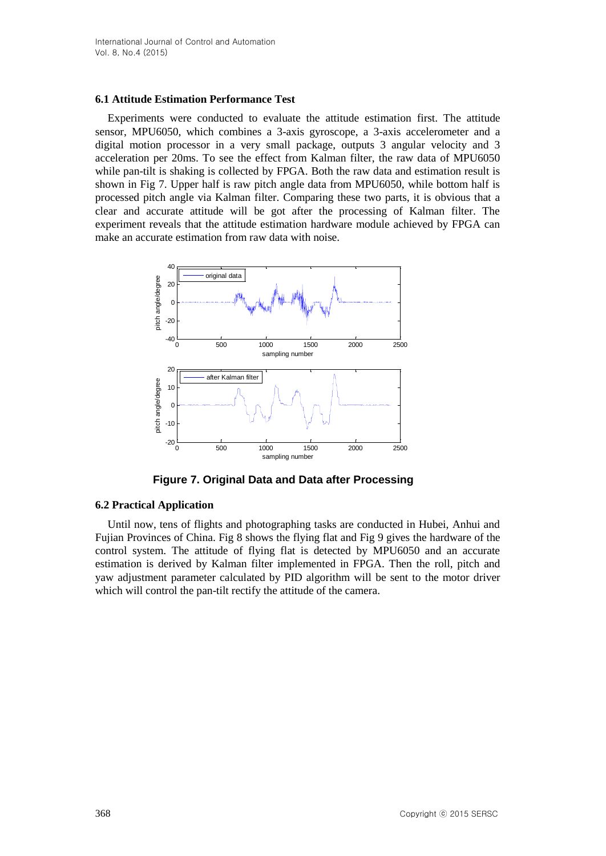## **6.1 Attitude Estimation Performance Test**

Experiments were conducted to evaluate the attitude estimation first. The attitude sensor, MPU6050, which combines a 3-axis gyroscope, a 3-axis accelerometer and a digital motion processor in a very small package, outputs 3 angular velocity and 3 acceleration per 20ms. To see the effect from Kalman filter, the raw data of MPU6050 while pan-tilt is shaking is collected by FPGA. Both the raw data and estimation result is shown in Fig 7. Upper half is raw pitch angle data from MPU6050, while bottom half is processed pitch angle via Kalman filter. Comparing these two parts, it is obvious that a clear and accurate attitude will be got after the processing of Kalman filter. The experiment reveals that the attitude estimation hardware module achieved by FPGA can make an accurate estimation from raw data with noise.



**Figure 7. Original Data and Data after Processing**

# **6.2 Practical Application**

Until now, tens of flights and photographing tasks are conducted in Hubei, Anhui and Fujian Provinces of China. Fig 8 shows the flying flat and Fig 9 gives the hardware of the control system. The attitude of flying flat is detected by MPU6050 and an accurate estimation is derived by Kalman filter implemented in FPGA. Then the roll, pitch and yaw adjustment parameter calculated by PID algorithm will be sent to the motor driver which will control the pan-tilt rectify the attitude of the camera.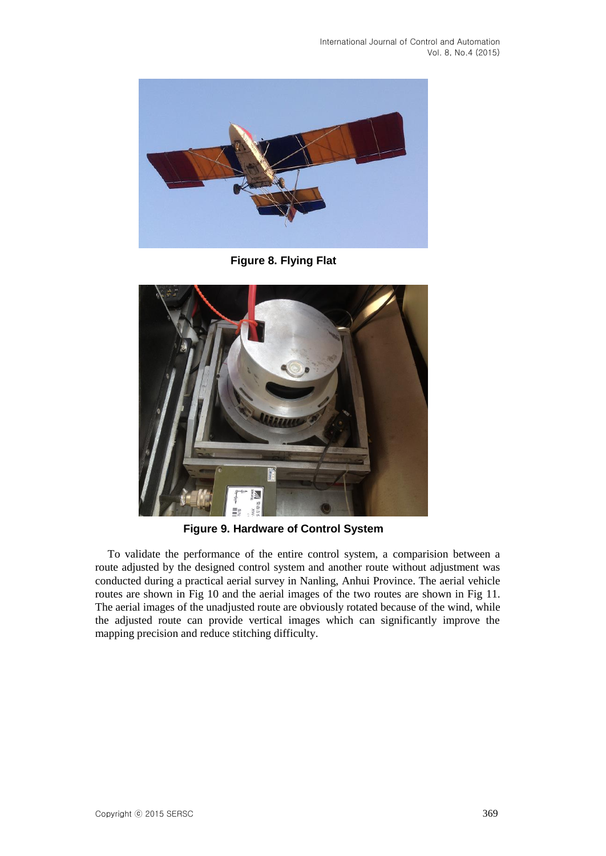

**Figure 8. Flying Flat**



**Figure 9. Hardware of Control System**

To validate the performance of the entire control system, a comparision between a route adjusted by the designed control system and another route without adjustment was conducted during a practical aerial survey in Nanling, Anhui Province. The aerial vehicle routes are shown in Fig 10 and the aerial images of the two routes are shown in Fig 11. The aerial images of the unadjusted route are obviously rotated because of the wind, while the adjusted route can provide vertical images which can significantly improve the mapping precision and reduce stitching difficulty.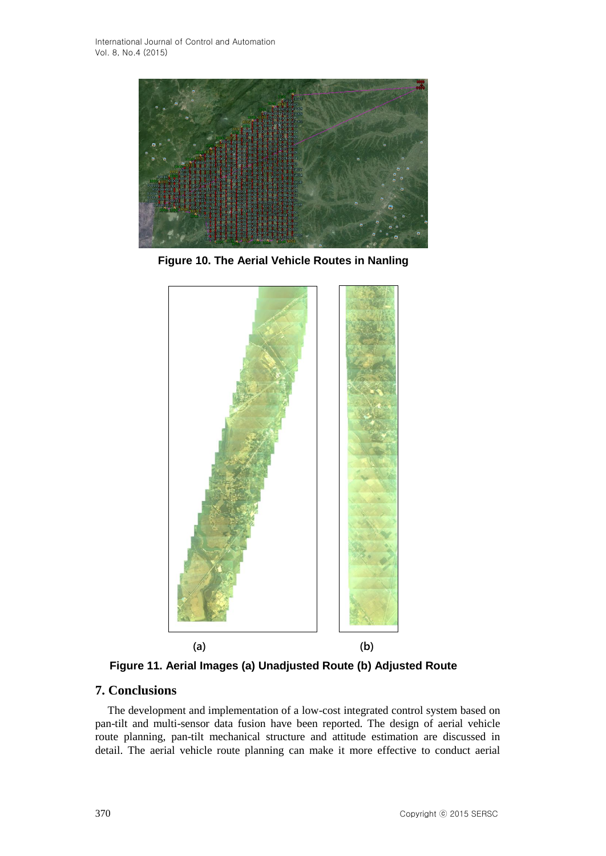

**Figure 10. The Aerial Vehicle Routes in Nanling**



**Figure 11. Aerial Images (a) Unadjusted Route (b) Adjusted Route**

# **7. Conclusions**

The development and implementation of a low-cost integrated control system based on pan-tilt and multi-sensor data fusion have been reported. The design of aerial vehicle route planning, pan-tilt mechanical structure and attitude estimation are discussed in detail. The aerial vehicle route planning can make it more effective to conduct aerial